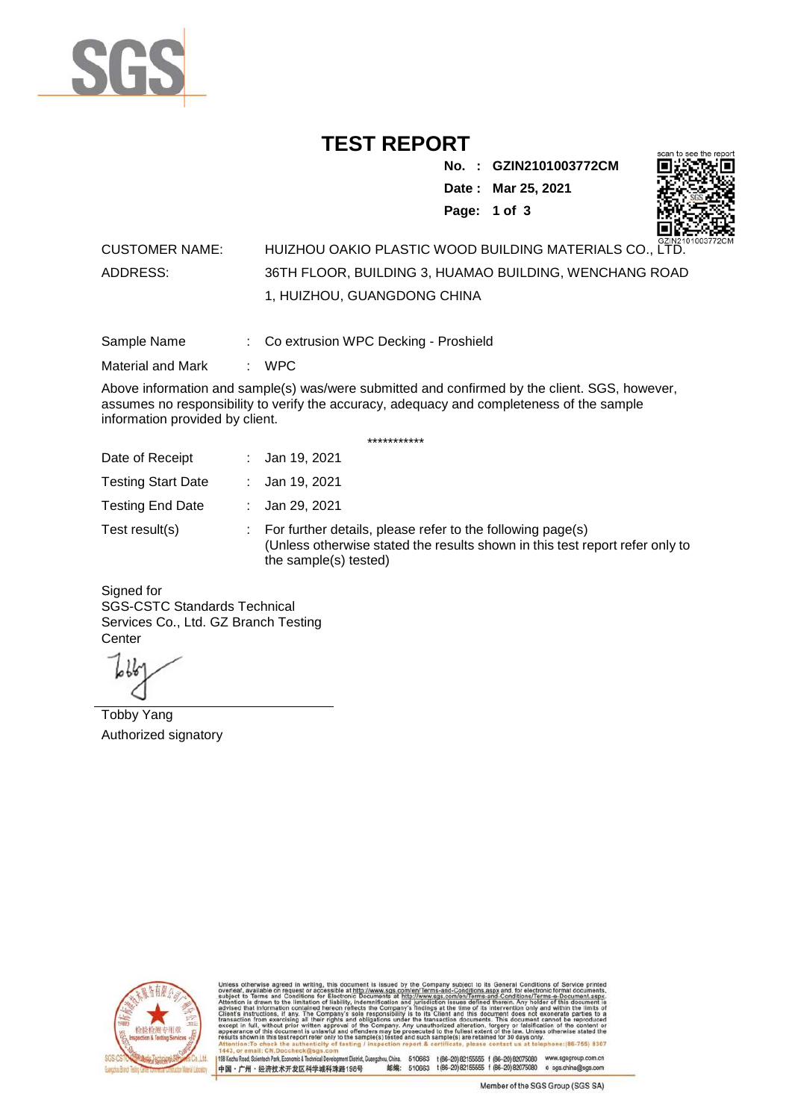

## **TEST REPORT**

**No. : GZIN2101003772CM Date : Mar 25, 2021**



**Page: 1 of 3** 

## CUSTOMER NAME: HUIZHOU OAKIO PLASTIC WOOD BUILDING MATERIALS CO., LTD. ADDRESS: 36TH FLOOR, BUILDING 3, HUAMAO BUILDING, WENCHANG ROAD 1, HUIZHOU, GUANGDONG CHINA

Sample Name : Co extrusion WPC Decking - Proshield

Material and Mark : WPC

Above information and sample(s) was/were submitted and confirmed by the client. SGS, however, assumes no responsibility to verify the accuracy, adequacy and completeness of the sample information provided by client.

\*\*\*\*\*\*\*\*\*\*\*

| Date of Receipt           | : Jan 19, 2021                                                                                                                                                        |
|---------------------------|-----------------------------------------------------------------------------------------------------------------------------------------------------------------------|
| <b>Testing Start Date</b> | : Jan 19, 2021                                                                                                                                                        |
| <b>Testing End Date</b>   | : Jan 29, 2021                                                                                                                                                        |
| Test result(s)            | : For further details, please refer to the following page(s)<br>(Unless otherwise stated the results shown in this test report refer only to<br>the sample(s) tested) |

Signed for SGS-CSTC Standards Technical Services Co., Ltd. GZ Branch Testing **Center** 

Tobby Yang Authorized signatory



510663 t(86-20) 82155555 f (86-20) 82075080 www.sgsgroup.com.cn<br>510663 t(86-20) 82155555 f (86-20) 82075080 e sgs.china@sgs.com 198 Kezhu Road, Scientech Park, Eco nomic & Technical Devel tou, China. ant District C 邮编: 中国·广州·经济技术开发区科学城科珠路198号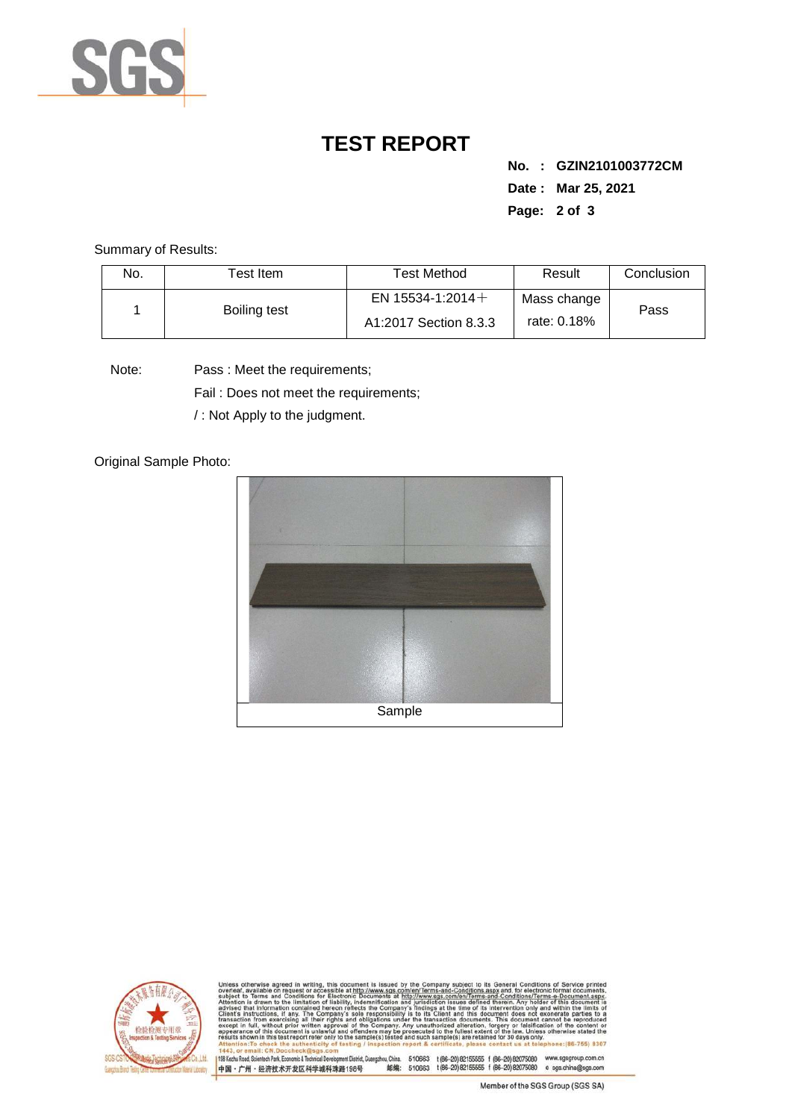

## **TEST REPORT**

**No. : GZIN2101003772CM Date : Mar 25, 2021 Page: 2 of 3** 

Summary of Results:

| No. | $\sf{Test}$ Item . | <b>Test Method</b>                           | Result                     | Conclusion |
|-----|--------------------|----------------------------------------------|----------------------------|------------|
|     | Boiling test       | EN 15534-1:2014 $+$<br>A1:2017 Section 8.3.3 | Mass change<br>rate: 0.18% | Pass       |

Note: Pass : Meet the requirements;

Fail : Does not meet the requirements;

/ : Not Apply to the judgment.

Original Sample Photo:





and-Conditions/Terms-e-Docu»<br>ad therein. Any holder of this d 8307